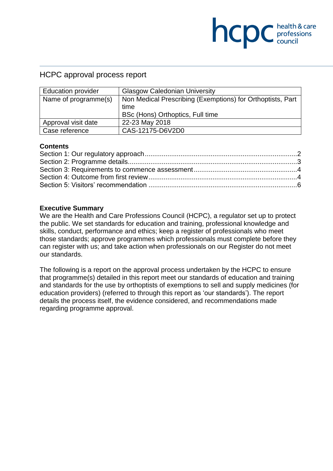## HCPC approval process report

| <b>Education provider</b> | <b>Glasgow Caledonian University</b>                               |
|---------------------------|--------------------------------------------------------------------|
| Name of programme(s)      | Non Medical Prescribing (Exemptions) for Orthoptists, Part<br>time |
|                           | BSc (Hons) Orthoptics, Full time                                   |
| Approval visit date       | 22-23 May 2018                                                     |
| Case reference            | CAS-12175-D6V2D0                                                   |

**NCDC** health & care

#### **Contents**

#### **Executive Summary**

We are the Health and Care Professions Council (HCPC), a regulator set up to protect the public. We set standards for education and training, professional knowledge and skills, conduct, performance and ethics; keep a register of professionals who meet those standards; approve programmes which professionals must complete before they can register with us; and take action when professionals on our Register do not meet our standards.

The following is a report on the approval process undertaken by the HCPC to ensure that programme(s) detailed in this report meet our standards of education and training and standards for the use by orthoptists of exemptions to sell and supply medicines (for education providers) (referred to through this report as 'our standards'). The report details the process itself, the evidence considered, and recommendations made regarding programme approval.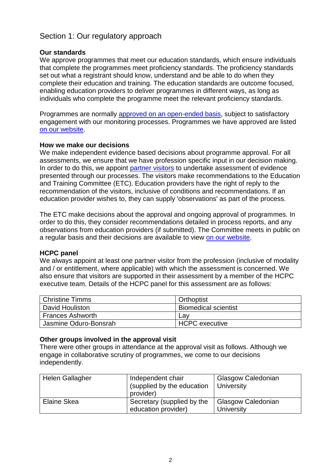# Section 1: Our regulatory approach

### **Our standards**

We approve programmes that meet our education standards, which ensure individuals that complete the programmes meet proficiency standards. The proficiency standards set out what a registrant should know, understand and be able to do when they complete their education and training. The education standards are outcome focused, enabling education providers to deliver programmes in different ways, as long as individuals who complete the programme meet the relevant proficiency standards.

Programmes are normally approved on an open-ended basis, subject to satisfactory engagement with our monitoring processes. Programmes we have approved are listed on our website.

### **How we make our decisions**

We make independent evidence based decisions about programme approval. For all assessments, we ensure that we have profession specific input in our decision making. In order to do this, we appoint partner visitors to undertake assessment of evidence presented through our processes. The visitors make recommendations to the Education and Training Committee (ETC). Education providers have the right of reply to the recommendation of the visitors, inclusive of conditions and recommendations. If an education provider wishes to, they can supply 'observations' as part of the process.

The ETC make decisions about the approval and ongoing approval of programmes. In order to do this, they consider recommendations detailed in process reports, and any observations from education providers (if submitted). The Committee meets in public on a regular basis and their decisions are available to view on our website.

### **HCPC panel**

We always appoint at least one partner visitor from the profession (inclusive of modality and / or entitlement, where applicable) with which the assessment is concerned. We also ensure that visitors are supported in their assessment by a member of the HCPC executive team. Details of the HCPC panel for this assessment are as follows:

| l Christine Timms       | Orthoptist                  |
|-------------------------|-----------------------------|
| David Houliston         | <b>Biomedical scientist</b> |
| <b>Frances Ashworth</b> | Lav                         |
| Jasmine Oduro-Bonsrah   | <b>HCPC</b> executive       |

### **Other groups involved in the approval visit**

There were other groups in attendance at the approval visit as follows. Although we engage in collaborative scrutiny of programmes, we come to our decisions independently.

| <b>Helen Gallagher</b> | Independent chair<br>(supplied by the education<br>provider) | Glasgow Caledonian<br>University        |
|------------------------|--------------------------------------------------------------|-----------------------------------------|
| Elaine Skea            | Secretary (supplied by the<br>education provider)            | Glasgow Caledonian<br><b>University</b> |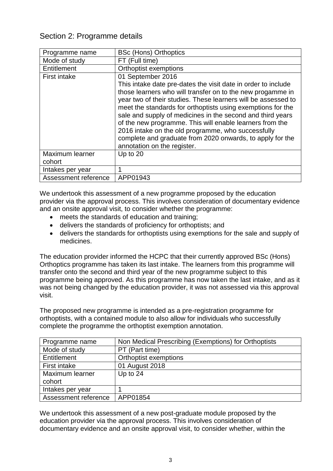# Section 2: Programme details

| Programme name       | <b>BSc (Hons) Orthoptics</b>                                                                                                                                                                                                                                                                                                                                                                                                                                                                             |
|----------------------|----------------------------------------------------------------------------------------------------------------------------------------------------------------------------------------------------------------------------------------------------------------------------------------------------------------------------------------------------------------------------------------------------------------------------------------------------------------------------------------------------------|
| Mode of study        | FT (Full time)                                                                                                                                                                                                                                                                                                                                                                                                                                                                                           |
| Entitlement          | <b>Orthoptist exemptions</b>                                                                                                                                                                                                                                                                                                                                                                                                                                                                             |
| <b>First intake</b>  | 01 September 2016                                                                                                                                                                                                                                                                                                                                                                                                                                                                                        |
|                      | This intake date pre-dates the visit date in order to include<br>those learners who will transfer on to the new progamme in<br>year two of their studies. These learners will be assessed to<br>meet the standards for orthoptists using exemptions for the<br>sale and supply of medicines in the second and third years<br>of the new programme. This will enable learners from the<br>2016 intake on the old programme, who successfully<br>complete and graduate from 2020 onwards, to apply for the |
|                      | annotation on the register.                                                                                                                                                                                                                                                                                                                                                                                                                                                                              |
| Maximum learner      | Up to $20$                                                                                                                                                                                                                                                                                                                                                                                                                                                                                               |
| cohort               |                                                                                                                                                                                                                                                                                                                                                                                                                                                                                                          |
| Intakes per year     | 1                                                                                                                                                                                                                                                                                                                                                                                                                                                                                                        |
| Assessment reference | APP01943                                                                                                                                                                                                                                                                                                                                                                                                                                                                                                 |

We undertook this assessment of a new programme proposed by the education provider via the approval process. This involves consideration of documentary evidence and an onsite approval visit, to consider whether the programme:

- meets the standards of education and training;
- delivers the standards of proficiency for orthoptists; and
- delivers the standards for orthoptists using exemptions for the sale and supply of medicines.

The education provider informed the HCPC that their currently approved BSc (Hons) Orthoptics programme has taken its last intake. The learners from this programme will transfer onto the second and third year of the new programme subject to this programme being approved. As this programme has now taken the last intake, and as it was not being changed by the education provider, it was not assessed via this approval visit.

The proposed new programme is intended as a pre-registration programme for orthoptists, with a contained module to also allow for individuals who successfully complete the programme the orthoptist exemption annotation.

| Programme name       | Non Medical Prescribing (Exemptions) for Orthoptists |
|----------------------|------------------------------------------------------|
| Mode of study        | PT (Part time)                                       |
| Entitlement          | Orthoptist exemptions                                |
| First intake         | 01 August 2018                                       |
| Maximum learner      | Up to $24$                                           |
| cohort               |                                                      |
| Intakes per year     |                                                      |
| Assessment reference | APP01854                                             |

We undertook this assessment of a new post-graduate module proposed by the education provider via the approval process. This involves consideration of documentary evidence and an onsite approval visit, to consider whether, within the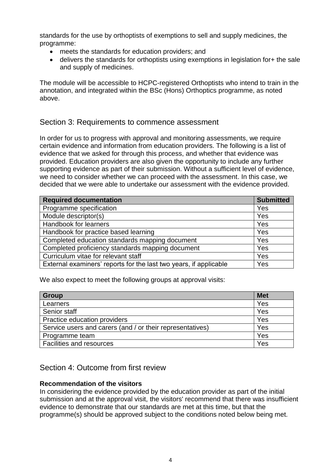standards for the use by orthoptists of exemptions to sell and supply medicines, the programme:

- meets the standards for education providers; and
- delivers the standards for orthoptists using exemptions in legislation for+ the sale and supply of medicines.

The module will be accessible to HCPC-registered Orthoptists who intend to train in the annotation, and integrated within the BSc (Hons) Orthoptics programme, as noted above.

## Section 3: Requirements to commence assessment

In order for us to progress with approval and monitoring assessments, we require certain evidence and information from education providers. The following is a list of evidence that we asked for through this process, and whether that evidence was provided. Education providers are also given the opportunity to include any further supporting evidence as part of their submission. Without a sufficient level of evidence, we need to consider whether we can proceed with the assessment. In this case, we decided that we were able to undertake our assessment with the evidence provided.

| <b>Required documentation</b>                                     | <b>Submitted</b> |
|-------------------------------------------------------------------|------------------|
| Programme specification                                           | Yes              |
| Module descriptor(s)                                              | Yes              |
| Handbook for learners                                             | Yes              |
| Handbook for practice based learning                              | Yes              |
| Completed education standards mapping document                    | Yes              |
| Completed proficiency standards mapping document                  | Yes              |
| Curriculum vitae for relevant staff                               | Yes              |
| External examiners' reports for the last two years, if applicable | Yes              |

We also expect to meet the following groups at approval visits:

| <b>Group</b>                                              | <b>Met</b> |
|-----------------------------------------------------------|------------|
| Learners                                                  | Yes        |
| Senior staff                                              | Yes        |
| Practice education providers                              | Yes        |
| Service users and carers (and / or their representatives) | Yes        |
| Programme team                                            | Yes        |
| Facilities and resources                                  | Yes        |

# Section 4: Outcome from first review

### **Recommendation of the visitors**

In considering the evidence provided by the education provider as part of the initial submission and at the approval visit, the visitors' recommend that there was insufficient evidence to demonstrate that our standards are met at this time, but that the programme(s) should be approved subject to the conditions noted below being met.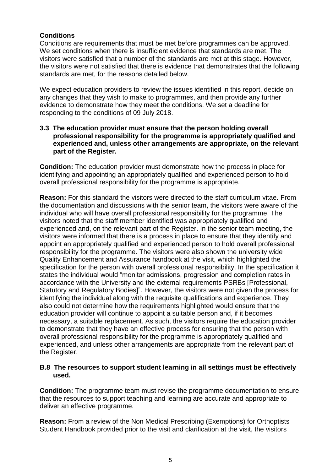## **Conditions**

Conditions are requirements that must be met before programmes can be approved. We set conditions when there is insufficient evidence that standards are met. The visitors were satisfied that a number of the standards are met at this stage. However, the visitors were not satisfied that there is evidence that demonstrates that the following standards are met, for the reasons detailed below.

We expect education providers to review the issues identified in this report, decide on any changes that they wish to make to programmes, and then provide any further evidence to demonstrate how they meet the conditions. We set a deadline for responding to the conditions of 09 July 2018.

#### **3.3 The education provider must ensure that the person holding overall professional responsibility for the programme is appropriately qualified and experienced and, unless other arrangements are appropriate, on the relevant part of the Register.**

**Condition:** The education provider must demonstrate how the process in place for identifying and appointing an appropriately qualified and experienced person to hold overall professional responsibility for the programme is appropriate.

**Reason:** For this standard the visitors were directed to the staff curriculum vitae. From the documentation and discussions with the senior team, the visitors were aware of the individual who will have overall professional responsibility for the programme. The visitors noted that the staff member identified was appropriately qualified and experienced and, on the relevant part of the Register. In the senior team meeting, the visitors were informed that there is a process in place to ensure that they identify and appoint an appropriately qualified and experienced person to hold overall professional responsibility for the programme. The visitors were also shown the university wide Quality Enhancement and Assurance handbook at the visit, which highlighted the specification for the person with overall professional responsibility. In the specification it states the individual would "monitor admissions, progression and completion rates in accordance with the University and the external requirements PSRBs [Professional, Statutory and Regulatory Bodies]". However, the visitors were not given the process for identifying the individual along with the requisite qualifications and experience. They also could not determine how the requirements highlighted would ensure that the education provider will continue to appoint a suitable person and, if it becomes necessary, a suitable replacement. As such, the visitors require the education provider to demonstrate that they have an effective process for ensuring that the person with overall professional responsibility for the programme is appropriately qualified and experienced, and unless other arrangements are appropriate from the relevant part of the Register.

### **B.8 The resources to support student learning in all settings must be effectively used.**

**Condition:** The programme team must revise the programme documentation to ensure that the resources to support teaching and learning are accurate and appropriate to deliver an effective programme.

**Reason:** From a review of the Non Medical Prescribing (Exemptions) for Orthoptists Student Handbook provided prior to the visit and clarification at the visit, the visitors